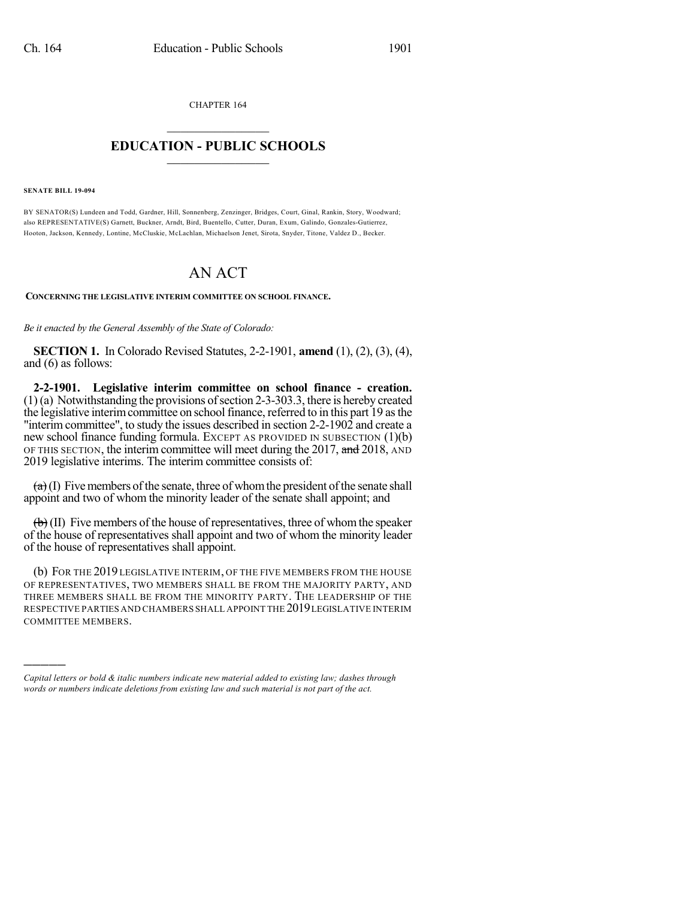CHAPTER 164

## $\overline{\phantom{a}}$  . The set of the set of the set of the set of the set of the set of the set of the set of the set of the set of the set of the set of the set of the set of the set of the set of the set of the set of the set o **EDUCATION - PUBLIC SCHOOLS**  $\_$   $\_$   $\_$   $\_$   $\_$   $\_$   $\_$   $\_$   $\_$

**SENATE BILL 19-094**

)))))

BY SENATOR(S) Lundeen and Todd, Gardner, Hill, Sonnenberg, Zenzinger, Bridges, Court, Ginal, Rankin, Story, Woodward; also REPRESENTATIVE(S) Garnett, Buckner, Arndt, Bird, Buentello, Cutter, Duran, Exum, Galindo, Gonzales-Gutierrez, Hooton, Jackson, Kennedy, Lontine, McCluskie, McLachlan, Michaelson Jenet, Sirota, Snyder, Titone, Valdez D., Becker.

## AN ACT

**CONCERNING THE LEGISLATIVE INTERIM COMMITTEE ON SCHOOL FINANCE.**

*Be it enacted by the General Assembly of the State of Colorado:*

**SECTION 1.** In Colorado Revised Statutes, 2-2-1901, **amend** (1), (2), (3), (4), and (6) as follows:

**2-2-1901. Legislative interim committee on school finance - creation.**  $(1)$  (a) Notwithstanding the provisions of section 2-3-303.3, there is hereby created the legislative interimcommittee on schoolfinance, referred to in this part 19 asthe "interim committee", to study the issues described in section 2-2-1902 and create a new school finance funding formula. EXCEPT AS PROVIDED IN SUBSECTION (1)(b) OF THIS SECTION, the interim committee will meet during the 2017, and 2018, AND 2019 legislative interims. The interim committee consists of:

 $(a)$  (I) Five members of the senate, three of whom the president of the senate shall appoint and two of whom the minority leader of the senate shall appoint; and

 $\left(\frac{1}{b}\right)$  (II) Five members of the house of representatives, three of whom the speaker of the house of representatives shall appoint and two of whom the minority leader of the house of representatives shall appoint.

(b) FOR THE 2019 LEGISLATIVE INTERIM, OF THE FIVE MEMBERS FROM THE HOUSE OF REPRESENTATIVES, TWO MEMBERS SHALL BE FROM THE MAJORITY PARTY, AND THREE MEMBERS SHALL BE FROM THE MINORITY PARTY. THE LEADERSHIP OF THE RESPECTIVE PARTIES AND CHAMBERS SHALL APPOINT THE 2019LEGISLATIVE INTERIM COMMITTEE MEMBERS.

*Capital letters or bold & italic numbers indicate new material added to existing law; dashes through words or numbers indicate deletions from existing law and such material is not part of the act.*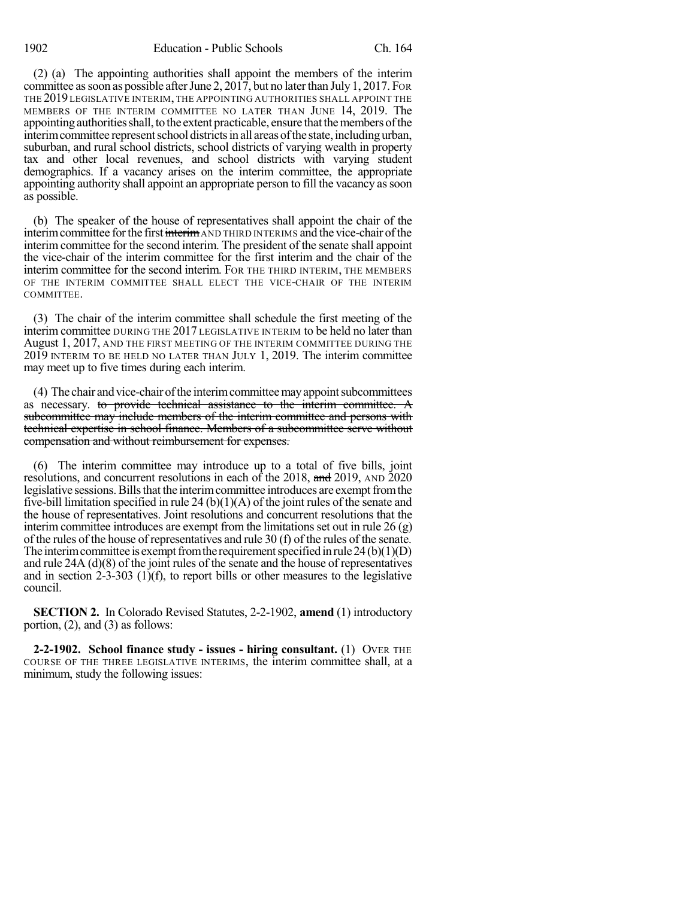(2) (a) The appointing authorities shall appoint the members of the interim committee as soon as possible after June 2, 2017, but no later than July 1, 2017. For THE 2019 LEGISLATIVE INTERIM, THE APPOINTING AUTHORITIES SHALL APPOINT THE MEMBERS OF THE INTERIM COMMITTEE NO LATER THAN JUNE 14, 2019. The appointing authorities shall, to the extent practicable, ensure that the members of the interim committee represent school districts in all areas of the state, including urban, suburban, and rural school districts, school districts of varying wealth in property tax and other local revenues, and school districts with varying student demographics. If a vacancy arises on the interim committee, the appropriate appointing authority shall appoint an appropriate person to fill the vacancy assoon as possible.

(b) The speaker of the house of representatives shall appoint the chair of the interim committee for the first interim AND THIRD INTERIMS and the vice-chair of the interim committee for the second interim. The president of the senate shall appoint the vice-chair of the interim committee for the first interim and the chair of the interim committee for the second interim. FOR THE THIRD INTERIM, THE MEMBERS OF THE INTERIM COMMITTEE SHALL ELECT THE VICE-CHAIR OF THE INTERIM COMMITTEE.

(3) The chair of the interim committee shall schedule the first meeting of the interim committee DURING THE 2017 LEGISLATIVE INTERIM to be held no later than August 1, 2017, AND THE FIRST MEETING OF THE INTERIM COMMITTEE DURING THE 2019 INTERIM TO BE HELD NO LATER THAN JULY 1, 2019. The interim committee may meet up to five times during each interim.

(4) The chair and vice-chair of the interim committee may appoint subcommittees as necessary. to provide technical assistance to the interim committee. A subcommittee may include members of the interim committee and persons with technical expertise in school finance. Members of a subcommittee serve without compensation and without reimbursement for expenses.

(6) The interim committee may introduce up to a total of five bills, joint resolutions, and concurrent resolutions in each of the 2018, and 2019, AND 2020 legislative sessions. Bills that the interim committee introduces are exempt from the five-bill limitation specified in rule 24 (b) $(1)(A)$  of the joint rules of the senate and the house of representatives. Joint resolutions and concurrent resolutions that the interim committee introduces are exempt from the limitations set out in rule  $26 \text{ (g)}$ of the rules of the house of representatives and rule 30 (f) of the rules of the senate. The interim committee is exempt from the requirement specified in rule  $24(b)(1)(D)$ and rule 24A (d)(8) of the joint rules of the senate and the house of representatives and in section 2-3-303 (1)(f), to report bills or other measures to the legislative council.

**SECTION 2.** In Colorado Revised Statutes, 2-2-1902, **amend** (1) introductory portion, (2), and (3) as follows:

**2-2-1902. School finance study - issues - hiring consultant.** (1) OVER THE COURSE OF THE THREE LEGISLATIVE INTERIMS, the interim committee shall, at a minimum, study the following issues: